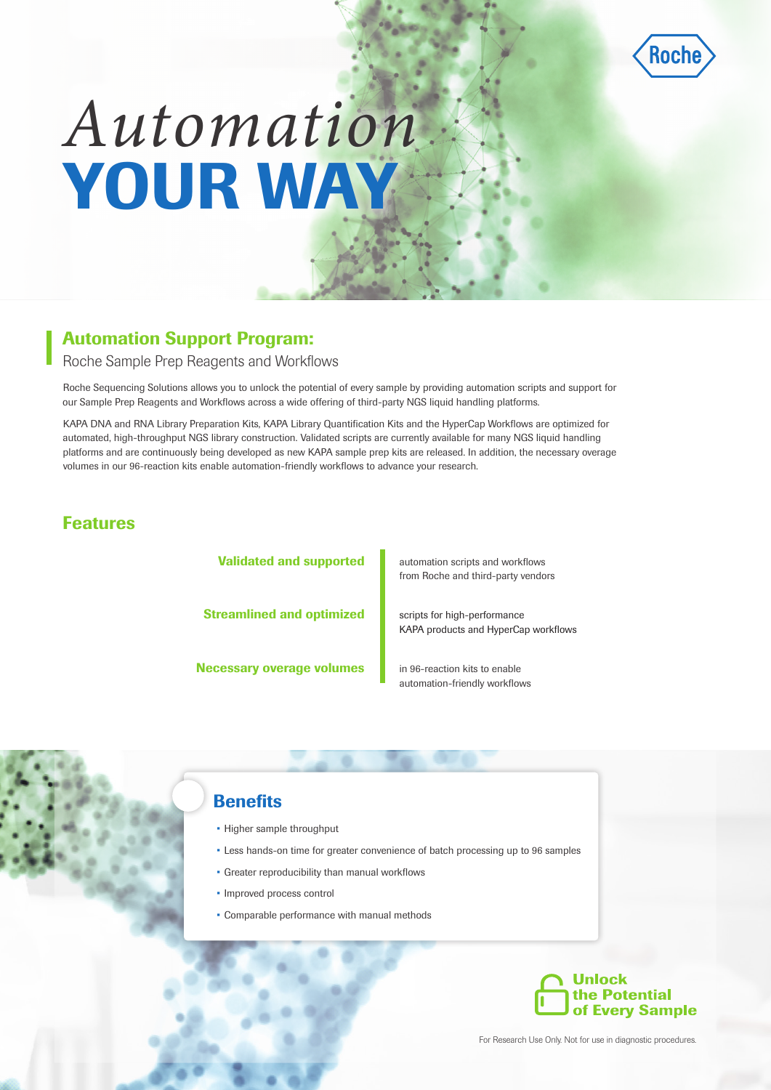

# *Automation* YOUR WAY

### Automation Support Program:

Roche Sample Prep Reagents and Workflows

Roche Sequencing Solutions allows you to unlock the potential of every sample by providing automation scripts and support for our Sample Prep Reagents and Workflows across a wide offering of third-party NGS liquid handling platforms.

KAPA DNA and RNA Library Preparation Kits, KAPA Library Quantification Kits and the HyperCap Workflows are optimized for automated, high-throughput NGS library construction. Validated scripts are currently available for many NGS liquid handling platforms and are continuously being developed as new KAPA sample prep kits are released. In addition, the necessary overage volumes in our 96-reaction kits enable automation-friendly workflows to advance your research.

#### Features

Validated and supported Necessary overage volumes Streamlined and optimized

automation scripts and workflows from Roche and third-party vendors

scripts for high-performance KAPA products and HyperCap workflows

in 96-reaction kits to enable automation-friendly workflows

#### **Benefits**

- Higher sample throughput
- Less hands-on time for greater convenience of batch processing up to 96 samples
- Greater reproducibility than manual workflows
- Improved process control
- Comparable performance with manual methods



For Research Use Only. Not for use in diagnostic procedures.